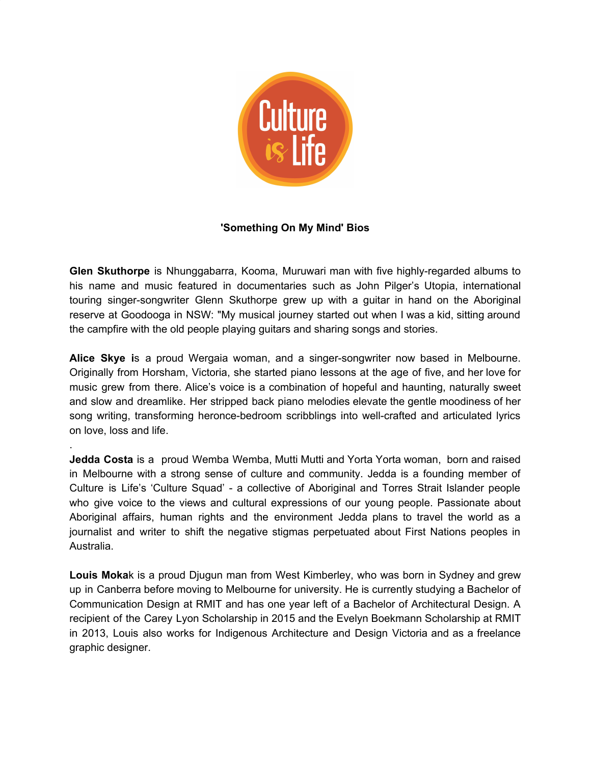

## **'Something On My Mind' Bios**

**Glen Skuthorpe** is Nhunggabarra, Kooma, Muruwari man with five highly-regarded albums to his name and music featured in documentaries such as John Pilger's Utopia, international touring singer-songwriter Glenn Skuthorpe grew up with a guitar in hand on the Aboriginal reserve at Goodooga in NSW: "My musical journey started out when I was a kid, sitting around the campfire with the old people playing guitars and sharing songs and stories.

**Alice Skye i**s a proud Wergaia woman, and a singer-songwriter now based in Melbourne. Originally from Horsham, Victoria, she started piano lessons at the age of five, and her love for music grew from there. Alice's voice is a combination of hopeful and haunting, naturally sweet and slow and dreamlike. Her stripped back piano melodies elevate the gentle moodiness of her song writing, transforming heronce-bedroom scribblings into well-crafted and articulated lyrics on love, loss and life.

.

**Jedda Costa** is a proud Wemba Wemba, Mutti Mutti and Yorta Yorta woman, born and raised in Melbourne with a strong sense of culture and community. Jedda is a founding member of Culture is Life's 'Culture Squad' - a collective of Aboriginal and Torres Strait Islander people who give voice to the views and cultural expressions of our young people. Passionate about Aboriginal affairs, human rights and the environment Jedda plans to travel the world as a journalist and writer to shift the negative stigmas perpetuated about First Nations peoples in Australia.

**Louis Moka**k is a proud Djugun man from West Kimberley, who was born in Sydney and grew up in Canberra before moving to Melbourne for university. He is currently studying a Bachelor of Communication Design at RMIT and has one year left of a Bachelor of Architectural Design. A recipient of the Carey Lyon Scholarship in 2015 and the Evelyn Boekmann Scholarship at RMIT in 2013, Louis also works for Indigenous Architecture and Design Victoria and as a freelance graphic designer.